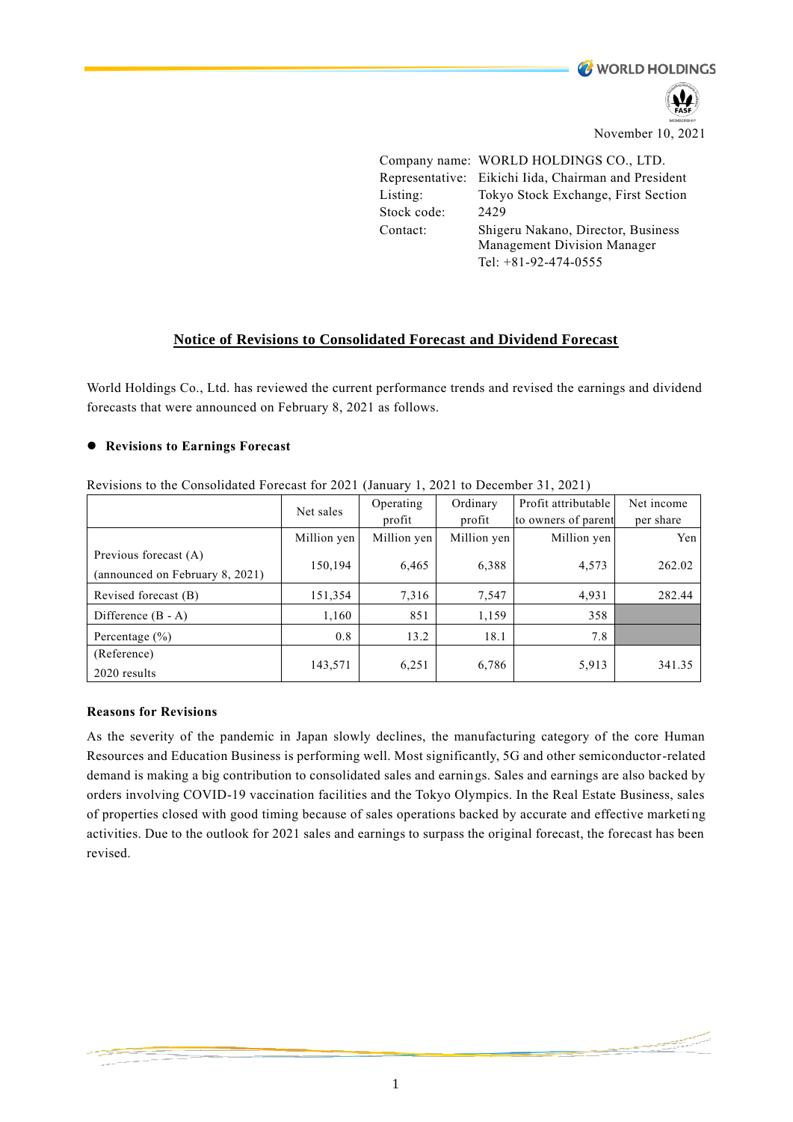**WORLD HOLDINGS** 

November 10, 2021

Company name: WORLD HOLDINGS CO., LTD. Representative: Eikichi Iida, Chairman and President Listing: Tokyo Stock Exchange, First Section Stock code: 2429 Contact: Shigeru Nakano, Director, Business Management Division Manager Tel: +81-92-474-0555

# **Notice of Revisions to Consolidated Forecast and Dividend Forecast**

World Holdings Co., Ltd. has reviewed the current performance trends and revised the earnings and dividend forecasts that were announced on February 8, 2021 as follows.

## ⚫ **Revisions to Earnings Forecast**

|                                 | Net sales   | Operating   | Ordinary    | Profit attributable | Net income |
|---------------------------------|-------------|-------------|-------------|---------------------|------------|
|                                 |             | profit      | profit      | to owners of parent | per share  |
|                                 | Million yen | Million yen | Million yen | Million yen         | Yen        |
| Previous forecast (A)           | 150,194     | 6,465       | 6,388       | 4,573               | 262.02     |
| (announced on February 8, 2021) |             |             |             |                     |            |
| Revised forecast (B)            | 151,354     | 7,316       | 7,547       | 4,931               | 282.44     |
| Difference $(B - A)$            | 1,160       | 851         | 1,159       | 358                 |            |
| Percentage $(\% )$              | 0.8         | 13.2        | 18.1        | 7.8                 |            |
| (Reference)                     | 143,571     | 6,251       | 6,786       | 5,913               | 341.35     |
| 2020 results                    |             |             |             |                     |            |

Revisions to the Consolidated Forecast for 2021 (January 1, 2021 to December 31, 2021)

### **Reasons for Revisions**

As the severity of the pandemic in Japan slowly declines, the manufacturing category of the core Human Resources and Education Business is performing well. Most significantly, 5G and other semiconductor-related demand is making a big contribution to consolidated sales and earnings. Sales and earnings are also backed by orders involving COVID-19 vaccination facilities and the Tokyo Olympics. In the Real Estate Business, sales of properties closed with good timing because of sales operations backed by accurate and effective marketi ng activities. Due to the outlook for 2021 sales and earnings to surpass the original forecast, the forecast has been revised.